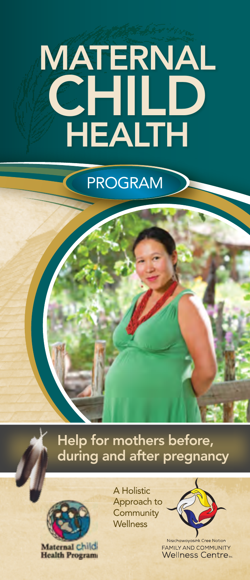# MATERNAL **CHILD** HEALTH

# PROGRAM

Help for mothers before, during and after pregnancy



Maternal child **Health Program**  A Holistic Approach to **Community Wellness** 



Nisichawayasihk Cree Nation **FAMILY AND COMMUNITY Wellness Centre**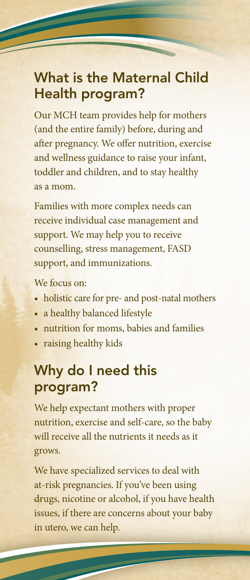#### What is the Maternal Child Health program?

Our MCH team provides help for mothers (and the entire family) before, during and after pregnancy. We offer nutrition, exercise and wellness guidance to raise your infant, toddler and children, and to stay healthy as a mom.

Families with more complex needs can receive individual case management and support. We may help you to receive counselling, stress management, FASD support, and immunizations.

We focus on:

- holistic care for pre- and post-natal mothers
- a healthy balanced lifestyle
- nutrition for moms, babies and families
- raising healthy kids

## Why do I need this program?

We help expectant mothers with proper nutrition, exercise and self-care, so the baby will receive all the nutrients it needs as it grows.

We have specialized services to deal with at-risk pregnancies. If you've been using drugs, nicotine or alcohol, if you have health issues, if there are concerns about your baby in utero, we can help.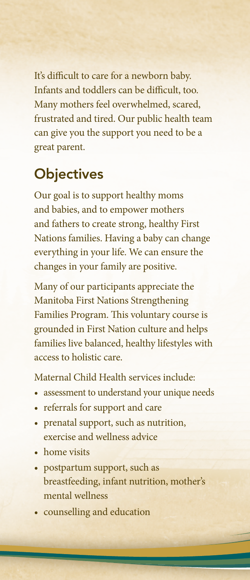It's difficult to care for a newborn baby. Infants and toddlers can be difficult, too. Many mothers feel overwhelmed, scared, frustrated and tired. Our public health team can give you the support you need to be a great parent.

#### **Objectives**

Our goal is to support healthy moms and babies, and to empower mothers and fathers to create strong, healthy First Nations families. Having a baby can change everything in your life. We can ensure the changes in your family are positive.

Many of our participants appreciate the Manitoba First Nations Strengthening Families Program. This voluntary course is grounded in First Nation culture and helps families live balanced, healthy lifestyles with access to holistic care.

Maternal Child Health services include:

- assessment to understand your unique needs
- referrals for support and care
- prenatal support, such as nutrition, exercise and wellness advice
- home visits
- postpartum support, such as breastfeeding, infant nutrition, mother's mental wellness
- counselling and education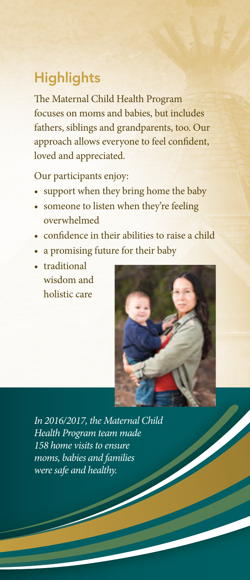### **Highlights**

The Maternal Child Health Program focuses on moms and babies, but includes fathers, siblings and grandparents, too. Our approach allows everyone to feel confident, loved and appreciated.

Our participants enjoy:

- support when they bring home the baby
- someone to listen when they're feeling overwhelmed
- confidence in their abilities to raise a child
- a promising future for their baby
- traditional wisdom and holistic care



*In 2016/2017, the Maternal Child Health Program team made 158 home visits to ensure moms, babies and families were safe and healthy.*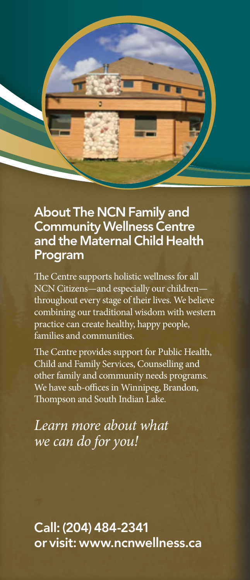

#### About The NCN Family and Community Wellness Centre and the Maternal Child Health Program

The Centre supports holistic wellness for all NCN Citizens—and especially our children throughout every stage of their lives. We believe combining our traditional wisdom with western practice can create healthy, happy people, families and communities.

The Centre provides support for Public Health, Child and Family Services, Counselling and other family and community needs programs. We have sub-offices in Winnipeg, Brandon, Thompson and South Indian Lake.

*Learn more about what we can do for you!*

Call: (204) 484-2341 or visit: www.ncnwellness.ca